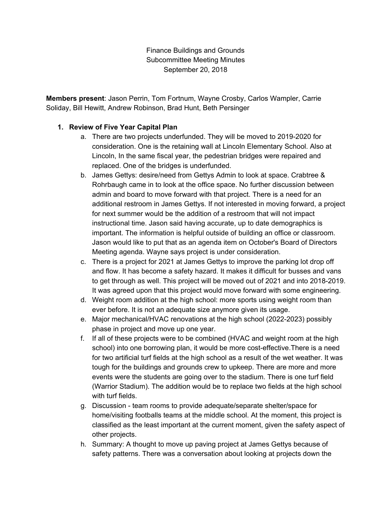Finance Buildings and Grounds Subcommittee Meeting Minutes September 20, 2018

**Members present**: Jason Perrin, Tom Fortnum, Wayne Crosby, Carlos Wampler, Carrie Soliday, Bill Hewitt, Andrew Robinson, Brad Hunt, Beth Persinger

## **1. Review of Five Year Capital Plan**

- a. There are two projects underfunded. They will be moved to 2019-2020 for consideration. One is the retaining wall at Lincoln Elementary School. Also at Lincoln, In the same fiscal year, the pedestrian bridges were repaired and replaced. One of the bridges is underfunded.
- b. James Gettys: desire/need from Gettys Admin to look at space. Crabtree & Rohrbaugh came in to look at the office space. No further discussion between admin and board to move forward with that project. There is a need for an additional restroom in James Gettys. If not interested in moving forward, a project for next summer would be the addition of a restroom that will not impact instructional time. Jason said having accurate, up to date demographics is important. The information is helpful outside of building an office or classroom. Jason would like to put that as an agenda item on October's Board of Directors Meeting agenda. Wayne says project is under consideration.
- c. There is a project for 2021 at James Gettys to improve the parking lot drop off and flow. It has become a safety hazard. It makes it difficult for busses and vans to get through as well. This project will be moved out of 2021 and into 2018-2019. It was agreed upon that this project would move forward with some engineering.
- d. Weight room addition at the high school: more sports using weight room than ever before. It is not an adequate size anymore given its usage.
- e. Major mechanical/HVAC renovations at the high school (2022-2023) possibly phase in project and move up one year.
- f. If all of these projects were to be combined (HVAC and weight room at the high school) into one borrowing plan, it would be more cost-effective.There is a need for two artificial turf fields at the high school as a result of the wet weather. It was tough for the buildings and grounds crew to upkeep. There are more and more events were the students are going over to the stadium. There is one turf field (Warrior Stadium). The addition would be to replace two fields at the high school with turf fields.
- g. Discussion team rooms to provide adequate/separate shelter/space for home/visiting footballs teams at the middle school. At the moment, this project is classified as the least important at the current moment, given the safety aspect of other projects.
- h. Summary: A thought to move up paving project at James Gettys because of safety patterns. There was a conversation about looking at projects down the